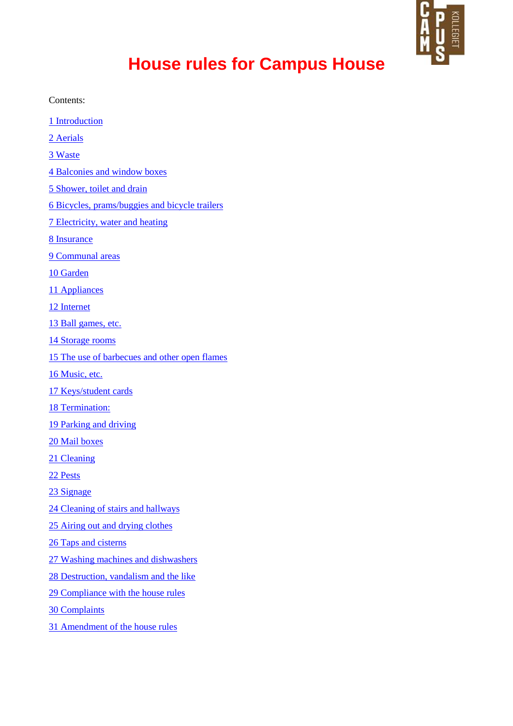

# **House rules for Campus House**

Contents:

- 1 Introduction 2 Aerials
- 3 Waste
- 4 Balconies and window boxes
- 5 Shower, toilet and drain
- 6 Bicycles, prams/buggies and bicycle trailers
- 7 Electricity, water and heating
- 8 Insurance
- 9 Communal areas
- 10 Garden
- 11 Appliances
- 12 Internet
- 13 Ball games, etc.
- 14 Storage rooms
- 15 The use of barbecues and other open flames
- 16 Music, etc.
- 17 Keys/student cards
- 18 Termination:
- 19 Parking and driving
- 20 Mail boxes
- 21 Cleaning
- 22 Pests
- 23 Signage
- 24 Cleaning of stairs and hallways
- 25 Airing out and drying clothes
- 26 Taps and cisterns
- 27 Washing machines and dishwashers
- 28 Destruction, vandalism and the like
- 29 Compliance with the house rules
- 30 Complaints
- 31 Amendment of the house rules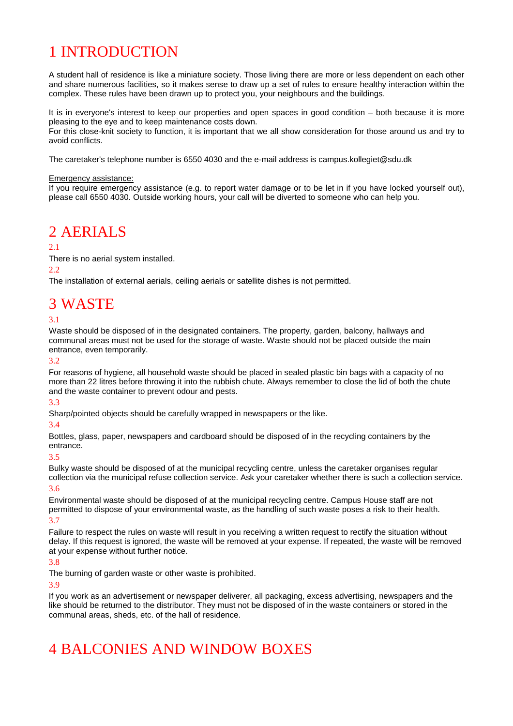## 1 INTRODUCTION

A student hall of residence is like a miniature society. Those living there are more or less dependent on each other and share numerous facilities, so it makes sense to draw up a set of rules to ensure healthy interaction within the complex. These rules have been drawn up to protect you, your neighbours and the buildings.

It is in everyone's interest to keep our properties and open spaces in good condition – both because it is more pleasing to the eye and to keep maintenance costs down.

For this close-knit society to function, it is important that we all show consideration for those around us and try to avoid conflicts.

The caretaker's telephone number is 6550 4030 and the e-mail address is campus.kollegiet@sdu.dk

#### Emergency assistance:

If you require emergency assistance (e.g. to report water damage or to be let in if you have locked yourself out), please call 6550 4030. Outside working hours, your call will be diverted to someone who can help you.

### 2 AERIALS

#### $2.1$

There is no aerial system installed.

2.2

The installation of external aerials, ceiling aerials or satellite dishes is not permitted.

### 3 WASTE

#### 3.1

Waste should be disposed of in the designated containers. The property, garden, balcony, hallways and communal areas must not be used for the storage of waste. Waste should not be placed outside the main entrance, even temporarily.

#### 3.2

For reasons of hygiene, all household waste should be placed in sealed plastic bin bags with a capacity of no more than 22 litres before throwing it into the rubbish chute. Always remember to close the lid of both the chute and the waste container to prevent odour and pests.

#### 3.3

Sharp/pointed objects should be carefully wrapped in newspapers or the like.

#### 3.4

Bottles, glass, paper, newspapers and cardboard should be disposed of in the recycling containers by the entrance.

#### 3.5

Bulky waste should be disposed of at the municipal recycling centre, unless the caretaker organises regular collection via the municipal refuse collection service. Ask your caretaker whether there is such a collection service.

#### 3.6

Environmental waste should be disposed of at the municipal recycling centre. Campus House staff are not permitted to dispose of your environmental waste, as the handling of such waste poses a risk to their health.

#### 3.7

Failure to respect the rules on waste will result in you receiving a written request to rectify the situation without delay. If this request is ignored, the waste will be removed at your expense. If repeated, the waste will be removed at your expense without further notice.

#### 3.8

The burning of garden waste or other waste is prohibited.

#### 3.9

If you work as an advertisement or newspaper deliverer, all packaging, excess advertising, newspapers and the like should be returned to the distributor. They must not be disposed of in the waste containers or stored in the communal areas, sheds, etc. of the hall of residence.

## 4 BALCONIES AND WINDOW BOXES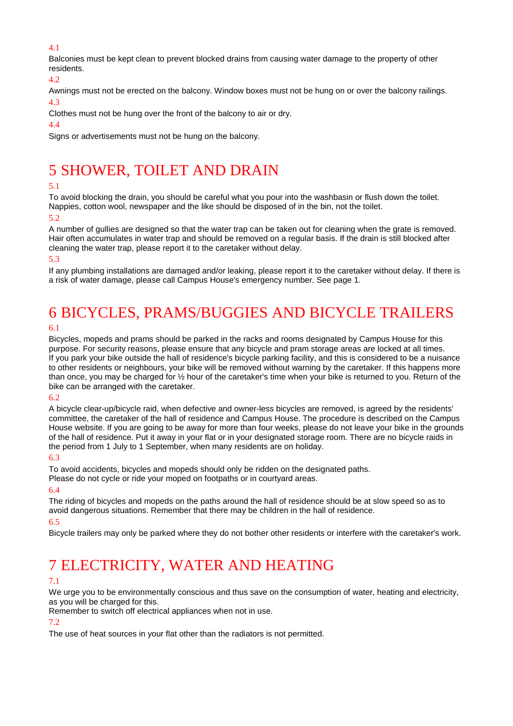#### 4.1

Balconies must be kept clean to prevent blocked drains from causing water damage to the property of other residents.

4.2

Awnings must not be erected on the balcony. Window boxes must not be hung on or over the balcony railings.

#### 4.3

Clothes must not be hung over the front of the balcony to air or dry.

#### 4.4

Signs or advertisements must not be hung on the balcony.

## 5 SHOWER, TOILET AND DRAIN

#### 5.1

To avoid blocking the drain, you should be careful what you pour into the washbasin or flush down the toilet. Nappies, cotton wool, newspaper and the like should be disposed of in the bin, not the toilet.

#### 5.2

A number of gullies are designed so that the water trap can be taken out for cleaning when the grate is removed. Hair often accumulates in water trap and should be removed on a regular basis. If the drain is still blocked after cleaning the water trap, please report it to the caretaker without delay.

#### 5.3

If any plumbing installations are damaged and/or leaking, please report it to the caretaker without delay. If there is a risk of water damage, please call Campus House's emergency number. See page 1.

# 6 BICYCLES, PRAMS/BUGGIES AND BICYCLE TRAILERS

#### 6.1

Bicycles, mopeds and prams should be parked in the racks and rooms designated by Campus House for this purpose. For security reasons, please ensure that any bicycle and pram storage areas are locked at all times. If you park your bike outside the hall of residence's bicycle parking facility, and this is considered to be a nuisance to other residents or neighbours, your bike will be removed without warning by the caretaker. If this happens more than once, you may be charged for ½ hour of the caretaker's time when your bike is returned to you. Return of the bike can be arranged with the caretaker.

#### 6.2

A bicycle clear-up/bicycle raid, when defective and owner-less bicycles are removed, is agreed by the residents' committee, the caretaker of the hall of residence and Campus House. The procedure is described on the Campus House website. If you are going to be away for more than four weeks, please do not leave your bike in the grounds of the hall of residence. Put it away in your flat or in your designated storage room. There are no bicycle raids in the period from 1 July to 1 September, when many residents are on holiday.

#### 6.3

To avoid accidents, bicycles and mopeds should only be ridden on the designated paths.

Please do not cycle or ride your moped on footpaths or in courtyard areas.

#### 6.4

The riding of bicycles and mopeds on the paths around the hall of residence should be at slow speed so as to avoid dangerous situations. Remember that there may be children in the hall of residence.

#### 6.5

Bicycle trailers may only be parked where they do not bother other residents or interfere with the caretaker's work.

## 7 ELECTRICITY, WATER AND HEATING

#### 7.1

We urge you to be environmentally conscious and thus save on the consumption of water, heating and electricity, as you will be charged for this.

Remember to switch off electrical appliances when not in use.

#### 7.2

The use of heat sources in your flat other than the radiators is not permitted.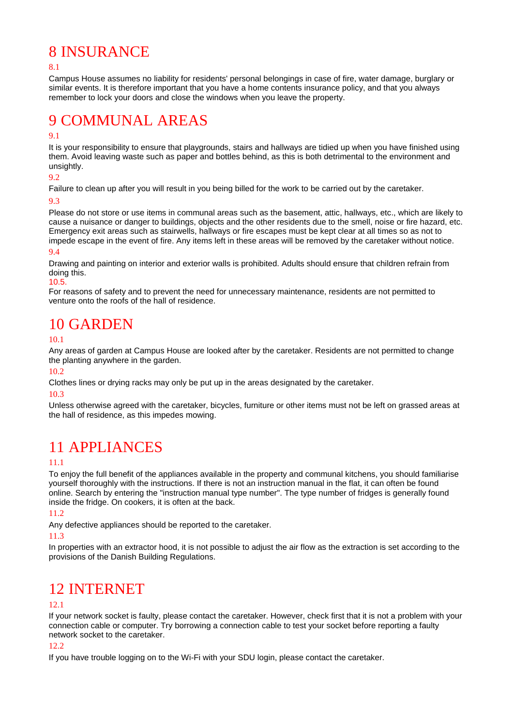### 8 INSURANCE

#### 8.1

Campus House assumes no liability for residents' personal belongings in case of fire, water damage, burglary or similar events. It is therefore important that you have a home contents insurance policy, and that you always remember to lock your doors and close the windows when you leave the property.

## 9 COMMUNAL AREAS

#### 9.1

It is your responsibility to ensure that playgrounds, stairs and hallways are tidied up when you have finished using them. Avoid leaving waste such as paper and bottles behind, as this is both detrimental to the environment and unsightly.

#### 9.2

Failure to clean up after you will result in you being billed for the work to be carried out by the caretaker.

#### 9.3

Please do not store or use items in communal areas such as the basement, attic, hallways, etc., which are likely to cause a nuisance or danger to buildings, objects and the other residents due to the smell, noise or fire hazard, etc. Emergency exit areas such as stairwells, hallways or fire escapes must be kept clear at all times so as not to impede escape in the event of fire. Any items left in these areas will be removed by the caretaker without notice. 9.4

Drawing and painting on interior and exterior walls is prohibited. Adults should ensure that children refrain from doing this.

#### 10.5.

For reasons of safety and to prevent the need for unnecessary maintenance, residents are not permitted to venture onto the roofs of the hall of residence.

### 10 GARDEN

#### 10.1

Any areas of garden at Campus House are looked after by the caretaker. Residents are not permitted to change the planting anywhere in the garden.

#### 10.2

Clothes lines or drying racks may only be put up in the areas designated by the caretaker.

#### 10.3

Unless otherwise agreed with the caretaker, bicycles, furniture or other items must not be left on grassed areas at the hall of residence, as this impedes mowing.

### 11 APPLIANCES

#### 11.1

To enjoy the full benefit of the appliances available in the property and communal kitchens, you should familiarise yourself thoroughly with the instructions. If there is not an instruction manual in the flat, it can often be found online. Search by entering the "instruction manual type number". The type number of fridges is generally found inside the fridge. On cookers, it is often at the back.

#### 11.2

Any defective appliances should be reported to the caretaker.

#### 11.3

In properties with an extractor hood, it is not possible to adjust the air flow as the extraction is set according to the provisions of the Danish Building Regulations.

### 12 INTERNET

#### 12.1

If your network socket is faulty, please contact the caretaker. However, check first that it is not a problem with your connection cable or computer. Try borrowing a connection cable to test your socket before reporting a faulty network socket to the caretaker.

#### 12.2

If you have trouble logging on to the Wi-Fi with your SDU login, please contact the caretaker.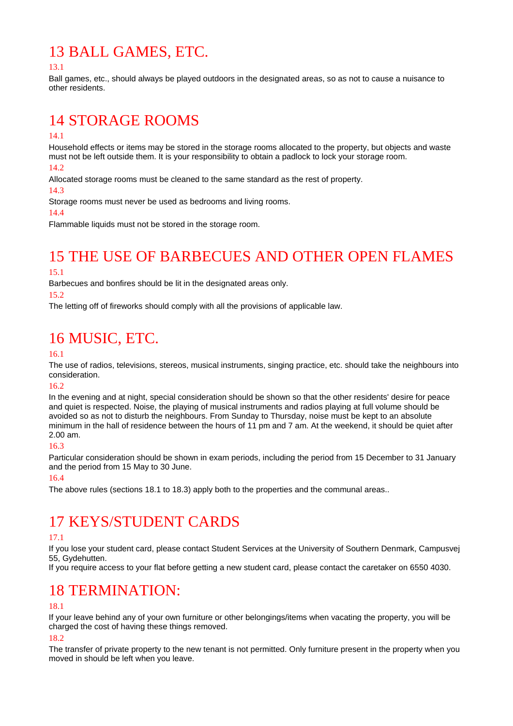## 13 BALL GAMES, ETC.

13.1

Ball games, etc., should always be played outdoors in the designated areas, so as not to cause a nuisance to other residents.

## 14 STORAGE ROOMS

#### 14.1

Household effects or items may be stored in the storage rooms allocated to the property, but objects and waste must not be left outside them. It is your responsibility to obtain a padlock to lock your storage room.

 $14.2$ 

Allocated storage rooms must be cleaned to the same standard as the rest of property.

14.3

Storage rooms must never be used as bedrooms and living rooms.

14.4

Flammable liquids must not be stored in the storage room.

## 15 THE USE OF BARBECUES AND OTHER OPEN FLAMES

#### 15.1

Barbecues and bonfires should be lit in the designated areas only.

#### 15.2

The letting off of fireworks should comply with all the provisions of applicable law.

## 16 MUSIC, ETC.

#### 16.1

The use of radios, televisions, stereos, musical instruments, singing practice, etc. should take the neighbours into consideration.

#### $16.2$

In the evening and at night, special consideration should be shown so that the other residents' desire for peace and quiet is respected. Noise, the playing of musical instruments and radios playing at full volume should be avoided so as not to disturb the neighbours. From Sunday to Thursday, noise must be kept to an absolute minimum in the hall of residence between the hours of 11 pm and 7 am. At the weekend, it should be quiet after 2.00 am.

#### 16.3

Particular consideration should be shown in exam periods, including the period from 15 December to 31 January and the period from 15 May to 30 June.

#### 16.4

The above rules (sections 18.1 to 18.3) apply both to the properties and the communal areas..

### 17 KEYS/STUDENT CARDS

#### 17.1

If you lose your student card, please contact Student Services at the University of Southern Denmark, Campusvej 55, Gydehutten.

If you require access to your flat before getting a new student card, please contact the caretaker on 6550 4030.

### 18 TERMINATION:

#### 18.1

If your leave behind any of your own furniture or other belongings/items when vacating the property, you will be charged the cost of having these things removed.

#### 18.2

The transfer of private property to the new tenant is not permitted. Only furniture present in the property when you moved in should be left when you leave.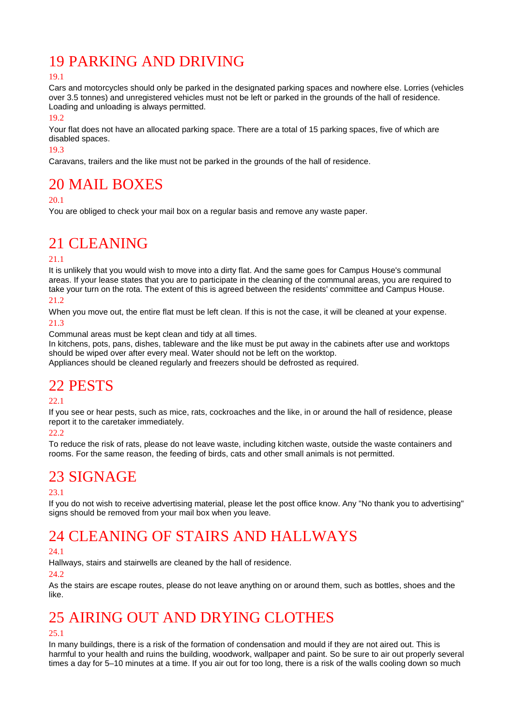## 19 PARKING AND DRIVING

#### 19.1

Cars and motorcycles should only be parked in the designated parking spaces and nowhere else. Lorries (vehicles over 3.5 tonnes) and unregistered vehicles must not be left or parked in the grounds of the hall of residence. Loading and unloading is always permitted.

19.2

Your flat does not have an allocated parking space. There are a total of 15 parking spaces, five of which are disabled spaces.

19.3

Caravans, trailers and the like must not be parked in the grounds of the hall of residence.

### 20 MAIL BOXES

#### 20.1

You are obliged to check your mail box on a regular basis and remove any waste paper.

### 21 CLEANING

#### 21.1

It is unlikely that you would wish to move into a dirty flat. And the same goes for Campus House's communal areas. If your lease states that you are to participate in the cleaning of the communal areas, you are required to take your turn on the rota. The extent of this is agreed between the residents' committee and Campus House.

21.2

When you move out, the entire flat must be left clean. If this is not the case, it will be cleaned at your expense. 21.3

Communal areas must be kept clean and tidy at all times.

In kitchens, pots, pans, dishes, tableware and the like must be put away in the cabinets after use and worktops should be wiped over after every meal. Water should not be left on the worktop.

Appliances should be cleaned regularly and freezers should be defrosted as required.

### 22 PESTS

#### 22.1

If you see or hear pests, such as mice, rats, cockroaches and the like, in or around the hall of residence, please report it to the caretaker immediately.

#### 22.2

To reduce the risk of rats, please do not leave waste, including kitchen waste, outside the waste containers and rooms. For the same reason, the feeding of birds, cats and other small animals is not permitted.

## 23 SIGNAGE

#### 23.1

If you do not wish to receive advertising material, please let the post office know. Any "No thank you to advertising" signs should be removed from your mail box when you leave.

## 24 CLEANING OF STAIRS AND HALLWAYS

#### 24.1

Hallways, stairs and stairwells are cleaned by the hall of residence.

#### $24.2$

As the stairs are escape routes, please do not leave anything on or around them, such as bottles, shoes and the like.

## 25 AIRING OUT AND DRYING CLOTHES

#### $25.1$

In many buildings, there is a risk of the formation of condensation and mould if they are not aired out. This is harmful to your health and ruins the building, woodwork, wallpaper and paint. So be sure to air out properly several times a day for 5–10 minutes at a time. If you air out for too long, there is a risk of the walls cooling down so much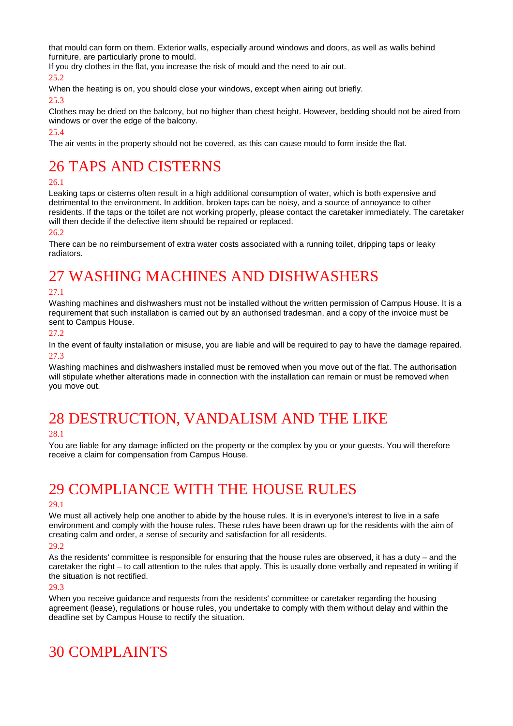that mould can form on them. Exterior walls, especially around windows and doors, as well as walls behind furniture, are particularly prone to mould.

If you dry clothes in the flat, you increase the risk of mould and the need to air out.

25.2

When the heating is on, you should close your windows, except when airing out briefly.

25.3

Clothes may be dried on the balcony, but no higher than chest height. However, bedding should not be aired from windows or over the edge of the balcony.

25.4

The air vents in the property should not be covered, as this can cause mould to form inside the flat.

### 26 TAPS AND CISTERNS

#### 26.1

Leaking taps or cisterns often result in a high additional consumption of water, which is both expensive and detrimental to the environment. In addition, broken taps can be noisy, and a source of annoyance to other residents. If the taps or the toilet are not working properly, please contact the caretaker immediately. The caretaker will then decide if the defective item should be repaired or replaced.

#### 26.2

There can be no reimbursement of extra water costs associated with a running toilet, dripping taps or leaky radiators.

## 27 WASHING MACHINES AND DISHWASHERS

#### 27.1

Washing machines and dishwashers must not be installed without the written permission of Campus House. It is a requirement that such installation is carried out by an authorised tradesman, and a copy of the invoice must be sent to Campus House.

#### 27.2

In the event of faulty installation or misuse, you are liable and will be required to pay to have the damage repaired. 27.3

Washing machines and dishwashers installed must be removed when you move out of the flat. The authorisation will stipulate whether alterations made in connection with the installation can remain or must be removed when you move out.

## 28 DESTRUCTION, VANDALISM AND THE LIKE

#### 28.1

You are liable for any damage inflicted on the property or the complex by you or your guests. You will therefore receive a claim for compensation from Campus House.

### 29 COMPLIANCE WITH THE HOUSE RULES

#### 29.1

We must all actively help one another to abide by the house rules. It is in everyone's interest to live in a safe environment and comply with the house rules. These rules have been drawn up for the residents with the aim of creating calm and order, a sense of security and satisfaction for all residents.

#### 29.2

As the residents' committee is responsible for ensuring that the house rules are observed, it has a duty – and the caretaker the right – to call attention to the rules that apply. This is usually done verbally and repeated in writing if the situation is not rectified.

#### 29.3

When you receive guidance and requests from the residents' committee or caretaker regarding the housing agreement (lease), regulations or house rules, you undertake to comply with them without delay and within the deadline set by Campus House to rectify the situation.

### 30 COMPLAINTS